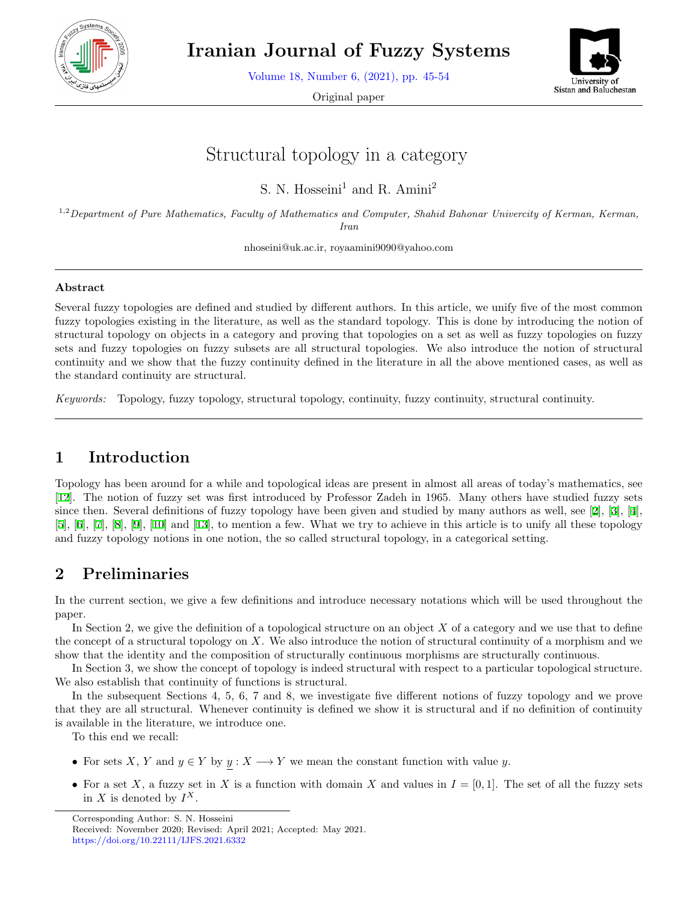

**Iranian Journal of Fuzzy Systems**

Volume 18, Number 6, (2021), pp. 45-54

Original paper



# Structural topology in a category

S. N. Hosseini<sup>1</sup> and R. Amini<sup>2</sup>

1,2*Department of Pure Mathematics, Faculty of Mathematics and Computer, Shahid Bahonar Univercity of Kerman, Kerman, Iran*

nhoseini@uk.ac.ir, royaamini9090@yahoo.com

#### **Abstract**

Several fuzzy topologies are defined and studied by different authors. In this article, we unify five of the most common fuzzy topologies existing in the literature, as well as the standard topology. This is done by introducing the notion of structural topology on objects in a category and proving that topologies on a set as well as fuzzy topologies on fuzzy sets and fuzzy topologies on fuzzy subsets are all structural topologies. We also introduce the notion of structural continuity and we show that the fuzzy continuity defined in the literature in all the above mentioned cases, as well as the standard continuity are structural.

*Keywords:* Topology, fuzzy topology, structural topology, continuity, fuzzy continuity, structural continuity.

## **1 Introduction**

Topology has been around for a while and topological ideas are present in almost all areas of today's mathematics, see [[12\]](#page-9-0). The notion of fuzzy set was first introduced by Professor Zadeh in 1965. Many others have studied fuzzy sets since then. Several definitions of fuzzy topology have been given and studied by many authors as well, see [[2\]](#page-8-0), [[3\]](#page-8-1), [\[4](#page-8-2)],  $[5], [6], [7], [8], [9], [10]$  $[5], [6], [7], [8], [9], [10]$  $[5], [6], [7], [8], [9], [10]$  $[5], [6], [7], [8], [9], [10]$  $[5], [6], [7], [8], [9], [10]$  $[5], [6], [7], [8], [9], [10]$  $[5], [6], [7], [8], [9], [10]$  $[5], [6], [7], [8], [9], [10]$  $[5], [6], [7], [8], [9], [10]$  $[5], [6], [7], [8], [9], [10]$  $[5], [6], [7], [8], [9], [10]$  $[5], [6], [7], [8], [9], [10]$  and  $[13],$  $[13],$  to mention a few. What we try to achieve in this article is to unify all these topology and fuzzy topology notions in one notion, the so called structural topology, in a categorical setting.

# **2 Preliminaries**

In the current section, we give a few definitions and introduce necessary notations which will be used throughout the paper.

In Section 2, we give the definition of a topological structure on an object *X* of a category and we use that to define the concept of a structural topology on *X*. We also introduce the notion of structural continuity of a morphism and we show that the identity and the composition of structurally continuous morphisms are structurally continuous.

In Section 3, we show the concept of topology is indeed structural with respect to a particular topological structure. We also establish that continuity of functions is structural.

In the subsequent Sections 4, 5, 6, 7 and 8, we investigate five different notions of fuzzy topology and we prove that they are all structural. Whenever continuity is defined we show it is structural and if no definition of continuity is available in the literature, we introduce one.

To this end we recall:

- For sets *X*, *Y* and  $y \in Y$  by  $y : X \longrightarrow Y$  we mean the constant function with value *y*.
- For a set *X*, a fuzzy set in *X* is a function with domain *X* and values in  $I = [0, 1]$ . The set of all the fuzzy sets in *X* is denoted by  $I^X$ .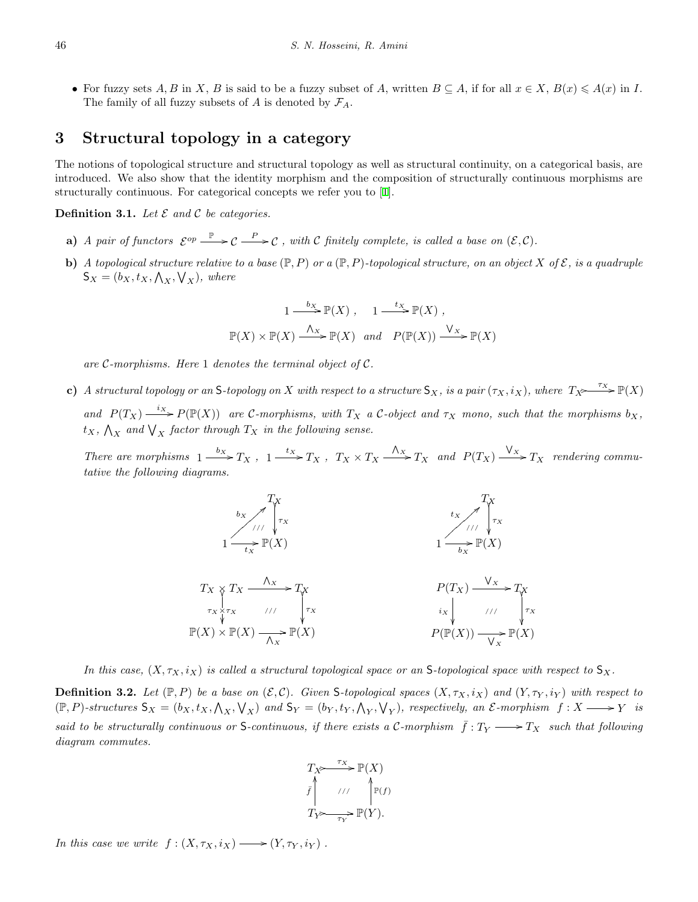• For fuzzy sets A, B in X, B is said to be a fuzzy subset of A, written  $B \subseteq A$ , if for all  $x \in X$ ,  $B(x) \leq A(x)$  in I. The family of all fuzzy subsets of *A* is denoted by  $\mathcal{F}_A$ .

#### **3 Structural topology in a category**

The notions of topological structure and structural topology as well as structural continuity, on a categorical basis, are introduced. We also show that the identity morphism and the composition of structurally continuous morphisms are structurally continuous. For categorical concepts we refer you to [[1\]](#page-8-5).

**Definition 3.1.** Let  $\mathcal E$  and  $\mathcal C$  be categories.

- **a**) *A* pair of functors  $\mathcal{E}^{op} \longrightarrow \mathcal{C} \longrightarrow \mathcal{C}$ , with *C* finitely complete, is called a base on  $(\mathcal{E}, \mathcal{C})$ .
- **b)** *A topological structure relative to a base*  $(\mathbb{P}, P)$  *or a*  $(\mathbb{P}, P)$ *-topological structure, on an object X of*  $\mathcal{E}$ *, is a quadruple*  $S_X = (b_X, t_X, \bigwedge_X, \bigvee_X)$ *, where*

$$
1 \xrightarrow{bx} \mathbb{P}(X), \quad 1 \xrightarrow{tx} \mathbb{P}(X),
$$
  

$$
\mathbb{P}(X) \times \mathbb{P}(X) \xrightarrow{\Lambda_X} \mathbb{P}(X) \quad and \quad P(\mathbb{P}(X)) \xrightarrow{\mathsf{V}_X} \mathbb{P}(X)
$$

*are C-morphisms. Here* 1 *denotes the terminal object of C.*

**c)** A structural topology or an S-topology on X with respect to a structure  $S_X$ , is a pair  $(\tau_X, i_X)$ , where  $T_X \xrightarrow{\tau_X} \mathbb{P}(X)$ and  $P(T_X) \xrightarrow{i_X} P(\mathbb{P}(X))$  are C-morphisms, with  $T_X$  a C-object and  $\tau_X$  mono, such that the morphisms  $b_X$ ,  $t_X$ ,  $\bigwedge_X$  *and*  $\bigvee_X$  *factor through*  $T_X$  *in the following sense.* 

There are morphisms  $1 \xrightarrow{b_X} T_X$ ,  $1 \xrightarrow{t_X} T_X$ ,  $T_X \times T_X \xrightarrow{\Lambda_X} T_X$  and  $P(T_X) \xrightarrow{\bigvee_X} T_X$  rendering commu*tative the following diagrams.*



*In this case,*  $(X, \tau_X, i_X)$  *is called a structural topological space or an* S-topological space with respect to  $S_X$ .

**Definition 3.2.** Let  $(\mathbb{P}, P)$  be a base on  $(\mathcal{E}, \mathcal{C})$ . Given S-topological spaces  $(X, \tau_X, i_X)$  and  $(Y, \tau_Y, i_Y)$  with respect to  $(\mathbb{P}, P)$ -structures  $S_X = (b_X, t_X, \Lambda_X, \mathcal{V}_X)$  and  $S_Y = (b_Y, t_Y, \Lambda_Y, \mathcal{V}_Y)$ , respectively, an  $\mathcal{E}$ -morphism  $f : X \longrightarrow Y$  is *said to be structurally continuous or* S-continuous, if there exists a C-morphism  $\bar{f}: T_Y \longrightarrow T_X$  such that following *diagram commutes.*

$$
T_X \xrightarrow{\tau_X} \mathbb{P}(X)
$$
  

$$
\bar{f} \qquad \qquad \text{if } \qquad \mathbb{P}(f)
$$
  

$$
T_Y \xrightarrow{\tau_X} \mathbb{P}(Y).
$$

*In this case we write*  $f : (X, \tau_X, i_X) \longrightarrow (Y, \tau_Y, i_Y)$ .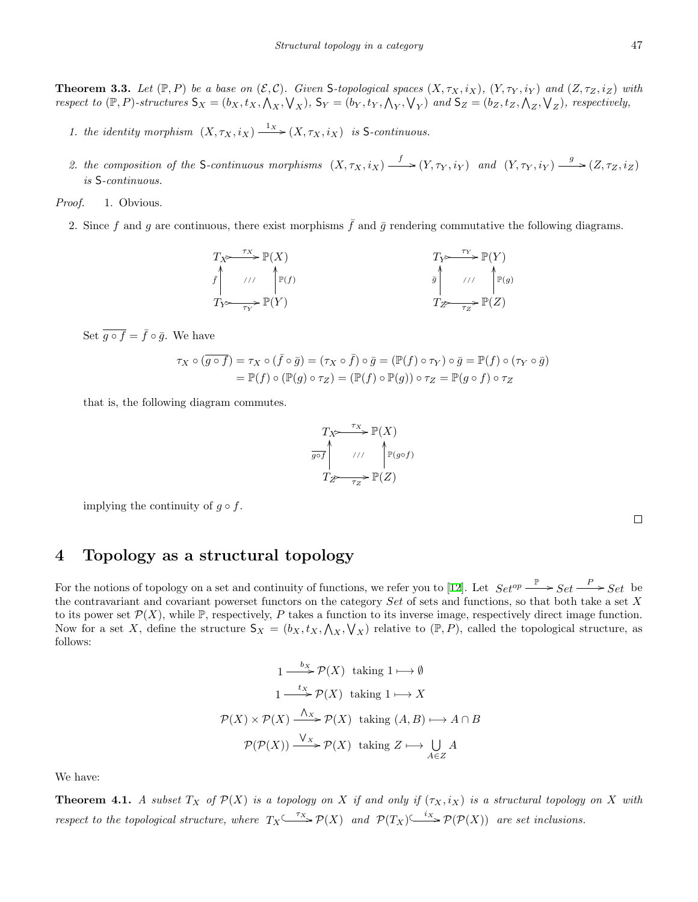**Theorem 3.3.** Let  $(\mathbb{P}, P)$  be a base on  $(\mathcal{E}, \mathcal{C})$ . Given S-topological spaces  $(X, \tau_X, i_X)$ ,  $(Y, \tau_Y, i_Y)$  and  $(Z, \tau_Z, i_Z)$  with respect to  $(\mathbb{P}, P)$ -structures  $S_X = (b_X, t_X, \bigwedge_X, \bigvee_X)$ ,  $S_Y = (b_Y, t_Y, \bigwedge_Y, \bigvee_Y)$  and  $S_Z = (b_Z, t_Z, \bigwedge_Z, \bigvee_Z)$ , respectively,

- *1. the identity morphism*  $(X, \tau_X, i_X) \xrightarrow{1_X} (X, \tau_X, i_X)$  *is* S-continuous.
- 2. the composition of the S-continuous morphisms  $(X, \tau_X, i_X) \xrightarrow{f} (Y, \tau_Y, i_Y)$  and  $(Y, \tau_Y, i_Y) \xrightarrow{g} (Z, \tau_Z, i_Z)$ *is* S*-continuous.*

*Proof.* 1. Obvious.

2. Since f and g are continuous, there exist morphisms  $\bar{f}$  and  $\bar{g}$  rendering commutative the following diagrams.

$$
T_X \xrightarrow{\tau_X} \mathbb{P}(X)
$$
\n
$$
\bar{f} \qquad \qquad \text{if } \qquad \mathbb{P}(f) \qquad \qquad \bar{g} \qquad \qquad \text{if } \qquad \mathbb{P}(Y) \qquad \qquad \bar{g} \qquad \qquad \text{if } \qquad \mathbb{P}(g) \qquad \qquad \bar{g} \qquad \qquad \text{if } \qquad \mathbb{P}(g) \qquad \qquad \bar{g} \qquad \qquad \text{if } \qquad \mathbb{P}(g) \qquad \qquad \bar{g} \qquad \qquad \text{if } \qquad \mathbb{P}(g) \qquad \qquad \bar{g} \qquad \qquad \text{if } \qquad \mathbb{P}(g) \qquad \qquad \bar{g} \qquad \qquad \text{if } \qquad \mathbb{P}(g) \qquad \qquad \bar{g} \qquad \qquad \text{if } \qquad \mathbb{P}(g) \qquad \qquad \bar{g} \qquad \qquad \text{if } \qquad \mathbb{P}(g) \qquad \qquad \bar{g} \qquad \qquad \text{if } \qquad \mathbb{P}(g) \qquad \qquad \bar{g} \qquad \qquad \text{if } \qquad \mathbb{P}(g) \qquad \qquad \bar{g} \qquad \qquad \text{if } \qquad \mathbb{P}(g) \qquad \qquad \bar{g} \qquad \qquad \text{if } \qquad \mathbb{P}(g) \qquad \qquad \bar{g} \qquad \qquad \text{if } \qquad \mathbb{P}(g) \qquad \qquad \bar{g} \qquad \qquad \text{if } \qquad \mathbb{P}(g) \qquad \qquad \bar{g} \qquad \qquad \text{if } \qquad \mathbb{P}(g) \qquad \qquad \bar{g} \qquad \qquad \text{if } \qquad \mathbb{P}(g) \qquad \qquad \bar{g} \qquad \qquad \text{if } \qquad \mathbb{P}(g) \qquad \qquad \bar{g} \qquad \qquad \text{if } \qquad \mathbb{P}(g) \qquad \qquad \bar{g} \qquad \qquad \text{if } \qquad \mathbb{P}(g) \qquad \qquad \bar{g} \qquad \qquad \text{if } \qquad \mathbb{P}(g) \qquad \qquad \bar{g} \qquad
$$

Set  $\overline{g \circ f} = \overline{f} \circ \overline{g}$ . We have

$$
\tau_X \circ (\overline{g \circ f}) = \tau_X \circ (\overline{f} \circ \overline{g}) = (\tau_X \circ \overline{f}) \circ \overline{g} = (\mathbb{P}(f) \circ \tau_Y) \circ \overline{g} = \mathbb{P}(f) \circ (\tau_Y \circ \overline{g})
$$
  
=  $\mathbb{P}(f) \circ (\mathbb{P}(g) \circ \tau_Z) = (\mathbb{P}(f) \circ \mathbb{P}(g)) \circ \tau_Z = \mathbb{P}(g \circ f) \circ \tau_Z$ 

that is, the following diagram commutes.

$$
T_X \xrightarrow{\tau_X} \mathbb{P}(X)
$$
\n
$$
\overrightarrow{g \circ f} \qquad // \qquad \mathbb{P}(g \circ f)
$$
\n
$$
T_Z \xrightarrow{\tau_Z} \mathbb{P}(Z)
$$

implying the continuity of  $g \circ f$ .

 $\Box$ 

## **4 Topology as a structural topology**

For the notions of topology on a set and continuity of functions, we refer you to [[12\]](#page-9-0). Let  $Set^{op} \longrightarrow Set \longrightarrow Set$  be the contravariant and covariant powerset functors on the category *Set* of sets and functions, so that both take a set *X* to its power set  $\mathcal{P}(X)$ , while  $\mathbb{P}$ , respectively, P takes a function to its inverse image, respectively direct image function. Now for a set *X*, define the structure  $S_X = (b_X, t_X, \bigwedge_X, \bigvee_X)$  relative to  $(\mathbb{P}, P)$ , called the topological structure, as follows:

$$
1 \xrightarrow{b_X} \mathcal{P}(X) \text{ taking } 1 \longmapsto \emptyset
$$

$$
1 \xrightarrow{tx} \mathcal{P}(X) \text{ taking } 1 \longmapsto X
$$

$$
\mathcal{P}(X) \times \mathcal{P}(X) \xrightarrow{\Lambda_X} \mathcal{P}(X) \text{ taking } (A, B) \longmapsto A \cap B
$$

$$
\mathcal{P}(\mathcal{P}(X)) \xrightarrow{\bigvee_X} \mathcal{P}(X) \text{ taking } Z \longmapsto \bigcup_{A \in Z} A
$$

We have:

**Theorem 4.1.** A subset  $T_X$  of  $\mathcal{P}(X)$  is a topology on X if and only if  $(\tau_X, i_X)$  is a structural topology on X with *respect to the topological structure, where*  $T_X \xrightarrow{\tau_X} \mathcal{P}(X)$  *and*  $\mathcal{P}(T_X) \xrightarrow{i_X} \mathcal{P}(\mathcal{P}(X))$  *are set inclusions.*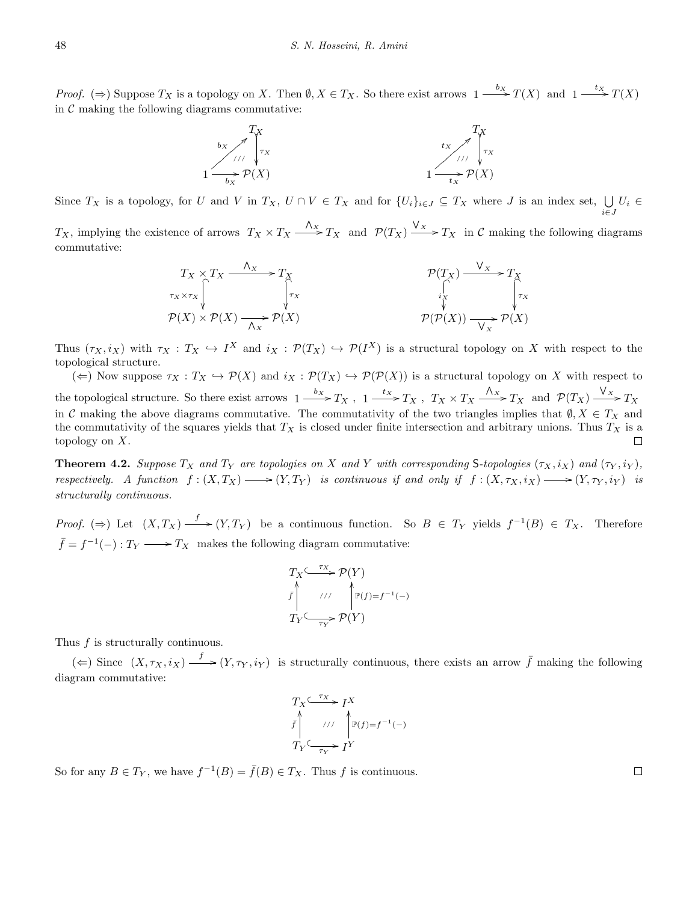*Proof.*  $(\Rightarrow)$  Suppose  $T_X$  is a topology on X. Then  $\emptyset, X \in T_X$ . So there exist arrows  $1 \xrightarrow{b_X} T(X)$  and  $1 \xrightarrow{tx} T(X)$ in  $C$  making the following diagrams commutative:



Since  $T_X$  is a topology, for U and V in  $T_X$ ,  $U \cap V \in T_X$  and for  $\{U_i\}_{i \in J} \subseteq T_X$  where J is an index set,  $\bigcup_{i \in J}$ *U<sup>i</sup> ∈*

*T*<sub>*X*</sub>, implying the existence of arrows  $T_X \times T_X \xrightarrow{\Lambda_X} T_X$  and  $\mathcal{P}(T_X) \xrightarrow{\bigvee_x} T_X$  in *C* making the following diagrams commutative:

$$
T_X \times T_X \xrightarrow{\Lambda_X} T_X
$$
\n
$$
\uparrow_{\tau_X \times \tau_X} \uparrow_{\tau_X} \qquad \qquad \uparrow_{\tau_X} \qquad \qquad \mathcal{P}(T_X) \xrightarrow{\mathsf{V}_X} T_X
$$
\n
$$
\uparrow_{\tau_X} \qquad \qquad \uparrow_{\tau_X} \qquad \qquad \uparrow_{\tau_X}
$$
\n
$$
\mathcal{P}(X) \times \mathcal{P}(X) \xrightarrow{\Lambda_X} \mathcal{P}(X)
$$
\n
$$
\mathcal{P}(\mathcal{P}(X)) \xrightarrow{\mathsf{V}_X} \mathcal{P}(X)
$$

Thus  $(\tau_X, i_X)$  with  $\tau_X : T_X \hookrightarrow I^X$  and  $i_X : \mathcal{P}(T_X) \hookrightarrow \mathcal{P}(I^X)$  is a structural topology on X with respect to the topological structure.

 $(\Leftarrow)$  Now suppose  $\tau_X : T_X \hookrightarrow \mathcal{P}(X)$  and  $i_X : \mathcal{P}(T_X) \hookrightarrow \mathcal{P}(\mathcal{P}(X))$  is a structural topology on X with respect to the topological structure. So there exist arrows  $1 \xrightarrow{b_X} T_X$ ,  $1 \xrightarrow{t_X} T_X$ ,  $T_X \times T_X \xrightarrow{\Lambda_X} T_X$  and  $\mathcal{P}(T_X) \xrightarrow{\bigvee} T_X$ in *C* making the above diagrams commutative. The commutativity of the two triangles implies that  $\emptyset, X \in T_X$  and the commutativity of the squares yields that  $T_X$  is closed under finite intersection and arbitrary unions. Thus  $T_X$  is a topology on *X*.  $\Box$ 

**Theorem 4.2.** Suppose  $T_X$  and  $T_Y$  are topologies on X and Y with corresponding S-topologies  $(\tau_X, i_X)$  and  $(\tau_Y, i_Y)$ , respectively. A function  $f:(X,T_X) \longrightarrow (Y,T_Y)$  is continuous if and only if  $f:(X,\tau_X,i_X) \longrightarrow (Y,\tau_Y,i_Y)$  is *structurally continuous.*

*Proof.* ( $\Rightarrow$ ) Let  $(X, T_X) \xrightarrow{f} (Y, T_Y)$  be a continuous function. So  $B \in T_Y$  yields  $f^{-1}(B) \in T_X$ . Therefore  $\bar{f} = f^{-1}(-) : T_Y \longrightarrow T_X$  makes the following diagram commutative:

$$
T_X \xrightarrow{\tau_X} \mathcal{P}(Y)
$$
\n
$$
\bar{f} \qquad \qquad \text{if } \qquad \qquad \mathbb{P}(f) = f^{-1}(-)
$$
\n
$$
T_Y \xrightarrow{\tau_Y} \mathcal{P}(Y)
$$

Thus *f* is structurally continuous.

 $(\Leftarrow)$  Since  $(X, \tau_X, i_X) \xrightarrow{f} (Y, \tau_Y, i_Y)$  is structurally continuous, there exists an arrow  $\bar{f}$  making the following diagram commutative:

$$
T_X \xrightarrow{f_X} I^X
$$
  

$$
\bar{f} \qquad // \qquad \mathbb{P}(f) = f^{-1}(-)
$$
  

$$
T_Y \xrightarrow{f_Y} I^Y
$$

So for any  $B \in T_Y$ , we have  $f^{-1}(B) = \overline{f}(B) \in T_X$ . Thus *f* is continuous.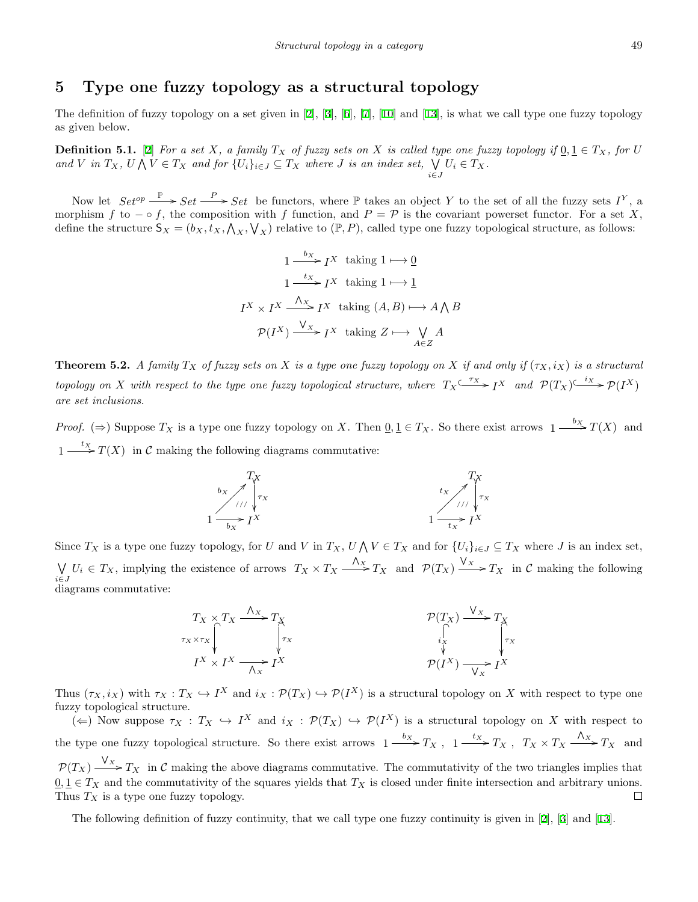## **5 Type one fuzzy topology as a structural topology**

The definition of fuzzy topology on a set given in [[2\]](#page-8-0), [\[3](#page-8-1)], [[6\]](#page-8-4), [[7\]](#page-9-1), [\[10](#page-9-4)] and [\[13](#page-9-5)], is what we call type one fuzzy topology as given below.

**Definition 5.1.** [[2\]](#page-8-0) *For a set X, a family*  $T_X$  *of fuzzy sets on X is called type one fuzzy topology if*  $0, 1 \in T_X$ *, for U* and V in  $T_X$ ,  $U \bigwedge V \in T_X$  and for  $\{U_i\}_{i \in J} \subseteq T_X$  where J is an index set,  $\bigvee_{i \in J}$  $U_i \in T_X$ .

Now let  $Set^{op} \xrightarrow{\mathbb{P}} Set \xrightarrow{P} Set$  be functors, where  $\mathbb P$  takes an object *Y* to the set of all the fuzzy sets  $I^Y$ , a morphism *f* to  $-\circ f$ , the composition with *f* function, and  $P = \mathcal{P}$  is the covariant powerset functor. For a set *X*, define the structure  $S_X = (b_X, t_X, \bigwedge_X, \bigvee_X)$  relative to  $(\mathbb{P}, P)$ , called type one fuzzy topological structure, as follows:

$$
1 \xrightarrow{b_X} I^X \text{ taking } 1 \longmapsto \underline{0}
$$

$$
1 \xrightarrow{tx} I^X \text{ taking } 1 \longmapsto \underline{1}
$$

$$
I^X \times I^X \xrightarrow{\Lambda_X} I^X \text{ taking } (A, B) \longmapsto A \bigwedge B
$$

$$
\mathcal{P}(I^X) \xrightarrow{\bigvee_X} I^X \text{ taking } Z \longmapsto \bigvee_{A \in Z} A
$$

<span id="page-4-1"></span>**Theorem 5.2.** *A family*  $T_X$  *of fuzzy sets on X is a type one fuzzy topology on X if and only if*  $(\tau_X, i_X)$  *is a structural* topology on X with respect to the type one fuzzy topological structure, where  $T_X \xrightarrow{\tau_X} I^X$  and  $\mathcal{P}(T_X) \xrightarrow{i_X} \mathcal{P}(I^X)$ *are set inclusions.*

*Proof.* ( $\Rightarrow$ ) Suppose  $T_X$  is a type one fuzzy topology on *X*. Then  $\underline{0}, \underline{1} \in T_X$ . So there exist arrows  $1 \xrightarrow{b_X} T(X)$  and  $1 \xrightarrow{tx} T(X)$  in *C* making the following diagrams commutative:



Since  $T_X$  is a type one fuzzy topology, for U and V in  $T_X$ ,  $U \wedge V \in T_X$  and for  $\{U_i\}_{i \in J} \subseteq T_X$  where J is an index set, ∨ *i∈J*  $U_i \in T_X$ , implying the existence of arrows  $T_X \times T_X \xrightarrow{\Lambda_X} T_X$  and  $\mathcal{P}(T_X) \xrightarrow{V_X} T_X$  in C making the following diagrams commutative:

$$
T_X \times T_X \xrightarrow{\Lambda_X} T_X
$$
\n
$$
T_X \times T_X \xrightarrow{\Lambda_X} T_X
$$
\n
$$
T_X \times T_X \xrightarrow{\uparrow} T_X
$$
\n
$$
T_X \times T_X \xrightarrow{\uparrow} T_X
$$
\n
$$
T_X \xrightarrow{\downarrow} T_X
$$
\n
$$
P(I^X) \xrightarrow{\downarrow} I^X
$$

Thus  $(\tau_X, i_X)$  with  $\tau_X : T_X \hookrightarrow I^X$  and  $i_X : \mathcal{P}(T_X) \hookrightarrow \mathcal{P}(I^X)$  is a structural topology on X with respect to type one fuzzy topological structure.

 $(\Leftarrow)$  Now suppose  $\tau_X : T_X \hookrightarrow I^X$  and  $i_X : \mathcal{P}(T_X) \hookrightarrow \mathcal{P}(I^X)$  is a structural topology on X with respect to the type one fuzzy topological structure. So there exist arrows  $1 \xrightarrow{b_X} T_X$ ,  $1 \xrightarrow{t_X} T_X$ ,  $T_X \times T_X \xrightarrow{\Lambda_X} T_X$  and  $P(T_X) \xrightarrow{V_X} T_X$  in *C* making the above diagrams commutative. The commutativity of the two triangles implies that  $\underline{0}, \underline{1} \in T_X$  and the commutativity of the squares yields that  $T_X$  is closed under finite intersection and arbitrary unions. Thus *T<sup>X</sup>* is a type one fuzzy topology.  $\Box$ 

<span id="page-4-0"></span>The following definition of fuzzy continuity, that we call type one fuzzy continuity is given in [[2\]](#page-8-0), [[3\]](#page-8-1) and [[13\]](#page-9-5).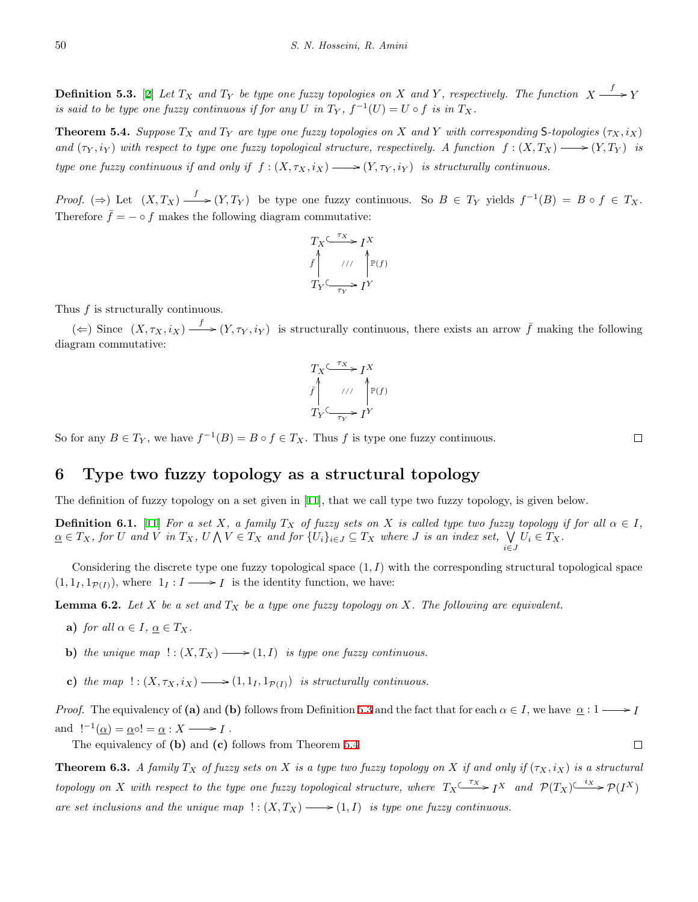**Definition 5.3.** [[2\]](#page-8-0) Let  $T_X$  and  $T_Y$  be type one fuzzy topologies on X and Y, respectively. The function  $X \xrightarrow{f} Y$ *is said to be type one fuzzy continuous if for any*  $U$  *in*  $T_Y$ ,  $f^{-1}(U) = U \circ f$  *is in*  $T_X$ *.* 

<span id="page-5-0"></span>**Theorem 5.4.** Suppose  $T_X$  and  $T_Y$  are type one fuzzy topologies on X and Y with corresponding S-topologies  $(\tau_X, i_X)$ *and*  $(\tau_Y, i_Y)$  *with respect to type one fuzzy topological structure, respectively. A function*  $f: (X, T_X) \longrightarrow (Y, T_Y)$  *is type one fuzzy continuous if and only if*  $f : (X, \tau_X, i_X) \longrightarrow (Y, \tau_Y, i_Y)$  *is structurally continuous.* 

*Proof.*  $(\Rightarrow)$  Let  $(X, T_X) \xrightarrow{f} (Y, T_Y)$  be type one fuzzy continuous. So  $B \in T_Y$  yields  $f^{-1}(B) = B \circ f \in T_X$ . Therefore  $\bar{f} = -\circ f$  makes the following diagram commutative:

$$
T_X \xrightarrow{\tau_X} I^X
$$
  

$$
\bar{f} \qquad // \qquad \mathbb{P}(f)
$$
  

$$
T_Y \xrightarrow{\tau_Y} I^Y
$$

Thus *f* is structurally continuous.

 $(\Leftarrow)$  Since  $(X, \tau_X, i_X) \xrightarrow{f} (Y, \tau_Y, i_Y)$  is structurally continuous, there exists an arrow  $\bar{f}$  making the following diagram commutative:

$$
T_X \xrightarrow{\tau_X} I^X
$$
  

$$
\int_{T_Y \xrightarrow{\tau_Y} I^Y}^{\uparrow} I^Y
$$

So for any  $B \in T_Y$ , we have  $f^{-1}(B) = B \circ f \in T_X$ . Thus *f* is type one fuzzy continuous.

#### **6 Type two fuzzy topology as a structural topology**

The definition of fuzzy topology on a set given in [\[11](#page-9-6)], that we call type two fuzzy topology, is given below.

**Definition 6.1.** [\[11](#page-9-6)] *For a set X*, *a family*  $T_X$  *of fuzzy sets on X is called type two fuzzy topology if for all*  $\alpha \in I$ ,  $\underline{\alpha} \in T_X$ , for U and V in  $T_X$ ,  $U \bigwedge V \in T_X$  and for  $\{U_i\}_{i \in J} \subseteq T_X$  where J is an index set,  $\bigvee U_i \in T_X$ . *i∈J*

Considering the discrete type one fuzzy topological space (1*, I*) with the corresponding structural topological space  $(1, 1_I, 1_{\mathcal{P}(I)})$ , where  $1_I : I \longrightarrow I$  is the identity function, we have:

<span id="page-5-1"></span>**Lemma 6.2.** *Let X be a set and T<sup>X</sup> be a type one fuzzy topology on X. The following are equivalent.*

- **a**) *for all*  $\alpha \in I$ ,  $\alpha \in T_X$ *.*
- **b)** *the unique map*  $\cdot : (X, T_X) \longrightarrow (1, I)$  *is type one fuzzy continuous.*
- **c)** *the map*  $\colon (X, \tau_X, i_X) \longrightarrow (1, 1_I, 1_{\mathcal{P}(I)})$  *is structurally continuous.*

*Proof.* The equivalency of (a) and (b) follows from Definition [5.3](#page-4-0) and the fact that for each  $\alpha \in I$ , we have  $\alpha : I \longrightarrow I$ and  $!^{-1}(\underline{\alpha}) = \underline{\alpha} \circ ! = \underline{\alpha} : X \longrightarrow I$ .

The equivalency of **(b)** and **(c)** follows from Theorem [5.4](#page-5-0)

**Theorem 6.3.** *A family*  $T_X$  *of fuzzy sets on X is a type two fuzzy topology on X if and only if*  $(\tau_X, i_X)$  *is a structural* topology on X with respect to the type one fuzzy topological structure, where  $T_X \xrightarrow{\tau_X} I^X$  and  $\mathcal{P}(T_X) \xrightarrow{i_X} \mathcal{P}(I^X)$ are set inclusions and the unique map  $\cdot : (X, T_X) \longrightarrow (1, I)$  is type one fuzzy continuous.

 $\Box$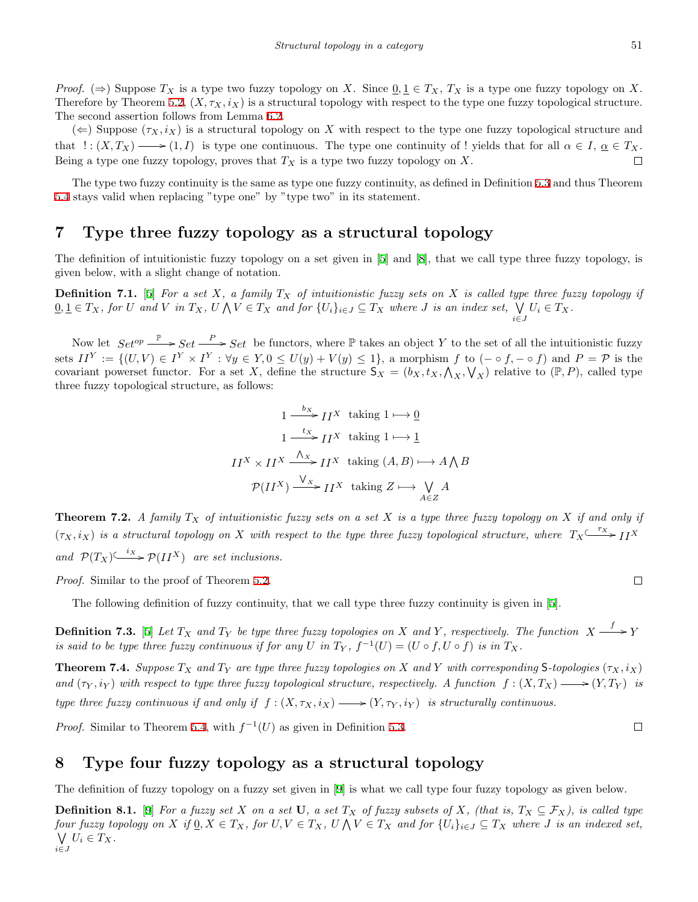*Proof.*  $(\Rightarrow)$  Suppose  $T_X$  is a type two fuzzy topology on X. Since  $0, 1 \in T_X$ ,  $T_X$  is a type one fuzzy topology on X. Therefore by Theorem [5.2,](#page-4-1)  $(X, \tau_X, i_X)$  is a structural topology with respect to the type one fuzzy topological structure. The second assertion follows from Lemma [6.2](#page-5-1).

 $(\Leftarrow)$  Suppose  $(\tau_X, i_X)$  is a structural topology on X with respect to the type one fuzzy topological structure and that  $\colon (X, T_X) \longrightarrow (1, I)$  is type one continuous. The type one continuity of ! yields that for all  $\alpha \in I$ ,  $\underline{\alpha} \in T_X$ . Being a type one fuzzy topology, proves that  $T_X$  is a type two fuzzy topology on  $X$ .  $\Box$ 

The type two fuzzy continuity is the same as type one fuzzy continuity, as defined in Definition [5.3](#page-4-0) and thus Theorem [5.4](#page-5-0) stays valid when replacing "type one" by "type two" in its statement.

#### **7 Type three fuzzy topology as a structural topology**

The definition of intuitionistic fuzzy topology on a set given in [\[5](#page-8-3)] and [[8\]](#page-9-2), that we call type three fuzzy topology, is given below, with a slight change of notation.

**Definition 7.1.** [[5\]](#page-8-3) For a set X, a family  $T_X$  of intuitionistic fuzzy sets on X is called type three fuzzy topology if  $\underline{0}, \underline{1} \in T_X$ , for U and V in  $T_X$ ,  $U \wedge V \in T_X$  and for  $\{U_i\}_{i \in J} \subseteq T_X$  where J is an index set,  $\bigvee U_i \in T_X$ . *i∈J*

Now let  $Set^{op} \xrightarrow{\mathbb{P}} Set \xrightarrow{P} Set$  be functors, where  $\mathbb P$  takes an object *Y* to the set of all the intuitionistic fuzzy sets  $II^Y := \{(U, V) \in I^Y \times I^Y : \forall y \in Y, 0 \leq U(y) + V(y) \leq 1\}$ , a morphism f to  $(- \circ f, - \circ f)$  and  $P = \mathcal{P}$  is the covariant powerset functor. For a set *X*, define the structure  $S_X = (b_X, t_X, \Lambda_X, \Lambda_X, \Lambda_X)$  relative to  $(\mathbb{P}, P)$ , called type three fuzzy topological structure, as follows:

$$
1 \xrightarrow{b_X} I I^X \text{ taking } 1 \longmapsto \underline{0}
$$
  

$$
1 \xrightarrow{tx} I I^X \text{ taking } 1 \longmapsto \underline{1}
$$
  

$$
II^X \times II^X \xrightarrow{\Lambda_X} I I^X \text{ taking } (A, B) \longmapsto A \bigwedge B
$$
  

$$
\mathcal{P}(II^X) \xrightarrow{\bigvee_X} II^X \text{ taking } Z \longmapsto \bigvee_{A \in Z} A
$$

**Theorem 7.2.** *A family*  $T_X$  *of intuitionistic fuzzy sets on a set*  $X$  *is a type three fuzzy topology on*  $X$  *if and only if*  $(\tau_X, i_X)$  is a structural topology on *X* with respect to the type three fuzzy topological structure, where  $T_X \xrightarrow{\tau_X} I I^X$ *and*  $\mathcal{P}(T_X) \xrightarrow{i_X} \mathcal{P}(II^X)$  *are set inclusions.* 

*Proof.* Similar to the proof of Theorem [5.2](#page-4-1).

The following definition of fuzzy continuity, that we call type three fuzzy continuity is given in [[5](#page-8-3)].

**Definition 7.3.** [\[5](#page-8-3)] Let  $T_X$  and  $T_Y$  be type three fuzzy topologies on X and Y, respectively. The function  $X \xrightarrow{f} Y$ *is said to be type three fuzzy continuous if for any*  $U$  *in*  $T_Y$ ,  $f^{-1}(U) = (U \circ f, U \circ f)$  *is in*  $T_X$ *.* 

**Theorem 7.4.** Suppose  $T_X$  and  $T_Y$  are type three fuzzy topologies on X and Y with corresponding S-topologies  $(\tau_X, i_X)$ *and*  $(\tau_Y, i_Y)$  with respect to type three fuzzy topological structure, respectively. A function  $f: (X, T_X) \longrightarrow (Y, T_Y)$  is *type three fuzzy continuous if and only if*  $f : (X, \tau_X, i_X) \longrightarrow (Y, \tau_Y, i_Y)$  *is structurally continuous.* 

*Proof.* Similar to Theorem [5.4,](#page-5-0) with  $f^{-1}(U)$  as given in Definition [5.3](#page-4-0).

#### **8 Type four fuzzy topology as a structural topology**

The definition of fuzzy topology on a fuzzy set given in [\[9](#page-9-3)] is what we call type four fuzzy topology as given below.

**Definition 8.1.** [[9\]](#page-9-3) For a fuzzy set X on a set U, a set  $T_X$  of fuzzy subsets of X, (that is,  $T_X \subseteq \mathcal{F}_X$ ), is called type four fuzzy topology on X if  $\underline{0}, X \in T_X$ , for  $U, V \in T_X$ ,  $U \wedge V \in T_X$  and for  $\{U_i\}_{i \in J} \subseteq T_X$  where J is an indexed set, ∨ *i∈J*  $U_i \in T_X$ .

 $\Box$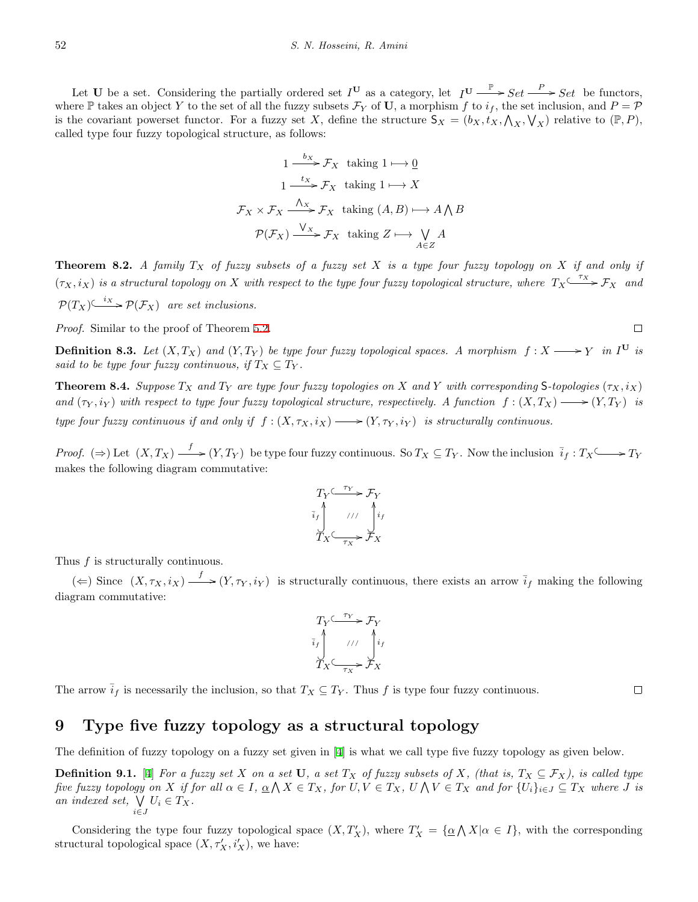Let **U** be a set. Considering the partially ordered set  $I^{\mathbf{U}}$  as a category, let  $I^{\mathbf{U}} \xrightarrow{\mathbb{P}} Set \xrightarrow{P} Set$  be functors, where  $\mathbb P$  takes an object *Y* to the set of all the fuzzy subsets  $\mathcal F_Y$  of **U**, a morphism *f* to  $i_f$ , the set inclusion, and  $P = \mathcal P$ is the covariant powerset functor. For a fuzzy set *X*, define the structure  $S_X = (b_X, t_X, \bigwedge_X, \bigvee_X)$  relative to  $(\mathbb{P}, P)$ , called type four fuzzy topological structure, as follows:

$$
1 \xrightarrow{b_X} \mathcal{F}_X \text{ taking } 1 \longmapsto \underline{0}
$$
  

$$
1 \xrightarrow{tx} \mathcal{F}_X \text{ taking } 1 \longmapsto X
$$
  

$$
\mathcal{F}_X \times \mathcal{F}_X \xrightarrow{\Lambda_X} \mathcal{F}_X \text{ taking } (A, B) \longmapsto A \bigwedge B
$$
  

$$
\mathcal{P}(\mathcal{F}_X) \xrightarrow{\bigvee_X} \mathcal{F}_X \text{ taking } Z \longmapsto \bigvee_{A \in Z} A
$$

<span id="page-7-2"></span>**Theorem 8.2.** *A family T<sup>X</sup> of fuzzy subsets of a fuzzy set X is a type four fuzzy topology on X if and only if*  $(\tau_X, i_X)$  is a structural topology on *X* with respect to the type four fuzzy topological structure, where  $T_X \xrightarrow{\tau_X} \mathcal{F}_X$  and  $P(T_X) \xrightarrow{i_X} P(\mathcal{F}_X)$  are set inclusions.

*Proof.* Similar to the proof of Theorem [5.2](#page-4-1).

<span id="page-7-0"></span>**Definition 8.3.** Let  $(X, T_X)$  and  $(Y, T_Y)$  be type four fuzzy topological spaces. A morphism  $f: X \longrightarrow Y$  in  $I^U$  is *said to be type four fuzzy continuous, if*  $T_X \subseteq T_Y$ .

<span id="page-7-1"></span>**Theorem 8.4.** Suppose  $T_X$  and  $T_Y$  are type four fuzzy topologies on X and Y with corresponding S-topologies  $(\tau_X, i_X)$ *and*  $(\tau_Y, i_Y)$  *with respect to type four fuzzy topological structure, respectively. A function*  $f:(X, T_X) \longrightarrow (Y, T_Y)$  *is type four fuzzy continuous if and only if*  $f : (X, \tau_X, i_X) \longrightarrow (Y, \tau_Y, i_Y)$  *is structurally continuous.* 

*Proof.*  $(\Rightarrow)$  Let  $(X, T_X) \xrightarrow{f} (Y, T_Y)$  be type four fuzzy continuous. So  $T_X \subseteq T_Y$ . Now the inclusion  $\bar{i}_f : T_X \longrightarrow T_Y$ makes the following diagram commutative:

$$
T_Y \xrightarrow{\tau_Y} \mathcal{F}_Y
$$
  

$$
\bar{i}_f \qquad \qquad \text{if} \qquad \qquad \int_{i_f}^{i_f} i_f
$$
  

$$
T_X \xrightarrow{\tau_X} \mathcal{F}_X
$$

Thus *f* is structurally continuous.

 $(\Leftarrow)$  Since  $(X, \tau_X, i_X) \xrightarrow{f} (Y, \tau_Y, i_Y)$  is structurally continuous, there exists an arrow  $\overline{i}_f$  making the following diagram commutative:

$$
T_Y \xrightarrow{\tau_Y} \mathcal{F}_Y
$$
  

$$
\overline{i}_f \qquad // \qquad i_f
$$
  

$$
T_X \xrightarrow{\tau_X} \mathcal{F}_X
$$

The arrow  $\bar{i}_f$  is necessarily the inclusion, so that  $T_X \subseteq T_Y$ . Thus *f* is type four fuzzy continuous.

#### $\Box$

#### **9 Type five fuzzy topology as a structural topology**

The definition of fuzzy topology on a fuzzy set given in [\[4](#page-8-2)] is what we call type five fuzzy topology as given below.

**Definition 9.1.** [[4\]](#page-8-2) For a fuzzy set X on a set U, a set  $T_X$  of fuzzy subsets of X, (that is,  $T_X \subseteq \mathcal{F}_X$ ), is called type five fuzzy topology on X if for all  $\alpha \in I$ ,  $\underline{\alpha} \wedge X \in T_X$ , for  $U, V \in T_X$ ,  $U \wedge V \in T_X$  and for  $\{U_i\}_{i \in J} \subseteq T_X$  where J is *an indexed set,* ∨ *i∈J*  $U_i \in T_X$ .

<span id="page-7-3"></span>Considering the type four fuzzy topological space  $(X, T_X')$ , where  $T_X' = {\alpha \wedge X | \alpha \in I}$ , with the corresponding structural topological space  $(X, \tau_X', i_X')$ , we have: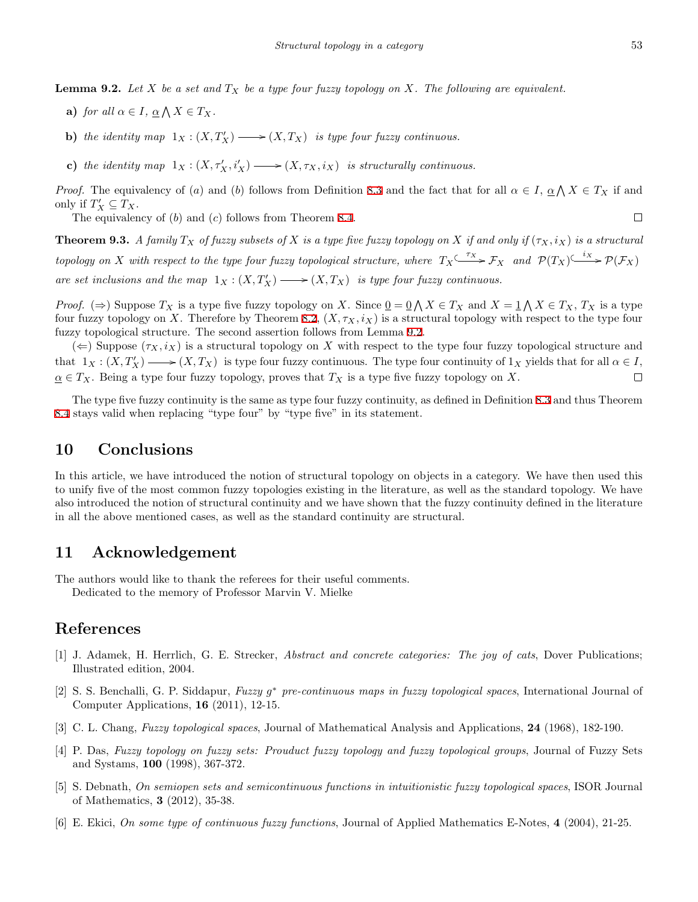- **a**) *for all*  $\alpha \in I$ *,*  $\underline{\alpha} \bigwedge X \in T_X$ *.*
- **b**) *the identity map*  $1_X : (X, T_X') \longrightarrow (X, T_X)$  *is type four fuzzy continuous.*
- **c)** the identity map  $1_X : (X, \tau_X', i_X') \longrightarrow (X, \tau_X, i_X)$  is structurally continuous.

*Proof.* The equivalency of (*a*) and (*b*) follows from Definition [8.3](#page-7-0) and the fact that for all  $\alpha \in I$ ,  $\underline{\alpha} \wedge X \in T_X$  if and only if  $T'_X \subseteq T_X$ .  $\Box$ 

The equivalency of (*b*) and (*c*) follows from Theorem [8.4.](#page-7-1)

**Theorem 9.3.** *A family*  $T_X$  *of fuzzy subsets of*  $X$  *is a type five fuzzy topology on*  $X$  *if and only if*  $(\tau_X, i_X)$  *is a structural* topology on X with respect to the type four fuzzy topological structure, where  $T_X \xrightarrow{\tau_X} \mathcal{F}_X$  and  $\mathcal{P}(T_X) \xrightarrow{i_X} \mathcal{P}(\mathcal{F}_X)$ *are set inclusions and the map*  $1_X : (X, T_X') \longrightarrow (X, T_X)$  *is type four fuzzy continuous.* 

*Proof.* ( $\Rightarrow$ ) Suppose  $T_X$  is a type five fuzzy topology on *X*. Since  $\underline{0} = \underline{0} \wedge X \in T_X$  and  $X = \underline{1} \wedge X \in T_X$ ,  $T_X$  is a type four fuzzy topology on *X*. Therefore by Theorem [8.2,](#page-7-2)  $(X, \tau_X, i_X)$  is a structural topology with respect to the type four fuzzy topological structure. The second assertion follows from Lemma [9.2](#page-7-3).

 $(\Leftarrow)$  Suppose  $(\tau_X, i_X)$  is a structural topology on X with respect to the type four fuzzy topological structure and that  $1_X: (X, T'_X) \longrightarrow (X, T_X)$  is type four fuzzy continuous. The type four continuity of  $1_X$  yields that for all  $\alpha \in I$ ,  $\alpha \in T_X$ . Being a type four fuzzy topology, proves that  $T_X$  is a type five fuzzy topology on *X*.  $\Box$ 

The type five fuzzy continuity is the same as type four fuzzy continuity, as defined in Definition [8.3](#page-7-0) and thus Theorem [8.4](#page-7-1) stays valid when replacing "type four" by "type five" in its statement.

#### **10 Conclusions**

In this article, we have introduced the notion of structural topology on objects in a category. We have then used this to unify five of the most common fuzzy topologies existing in the literature, as well as the standard topology. We have also introduced the notion of structural continuity and we have shown that the fuzzy continuity defined in the literature in all the above mentioned cases, as well as the standard continuity are structural.

### **11 Acknowledgement**

The authors would like to thank the referees for their useful comments.

Dedicated to the memory of Professor Marvin V. Mielke

## **References**

- <span id="page-8-5"></span>[1] J. Adamek, H. Herrlich, G. E. Strecker, *Abstract and concrete categories: The joy of cats*, Dover Publications; Illustrated edition, 2004.
- <span id="page-8-0"></span>[2] S. S. Benchalli, G. P. Siddapur, *Fuzzy g <sup>∗</sup> pre-continuous maps in fuzzy topological spaces*, International Journal of Computer Applications, **16** (2011), 12-15.
- <span id="page-8-1"></span>[3] C. L. Chang, *Fuzzy topological spaces*, Journal of Mathematical Analysis and Applications, **24** (1968), 182-190.
- <span id="page-8-2"></span>[4] P. Das, *Fuzzy topology on fuzzy sets: Prouduct fuzzy topology and fuzzy topological groups*, Journal of Fuzzy Sets and Systams, **100** (1998), 367-372.
- <span id="page-8-3"></span>[5] S. Debnath, *On semiopen sets and semicontinuous functions in intuitionistic fuzzy topological spaces*, ISOR Journal of Mathematics, **3** (2012), 35-38.
- <span id="page-8-4"></span>[6] E. Ekici, *On some type of continuous fuzzy functions*, Journal of Applied Mathematics E-Notes, **4** (2004), 21-25.